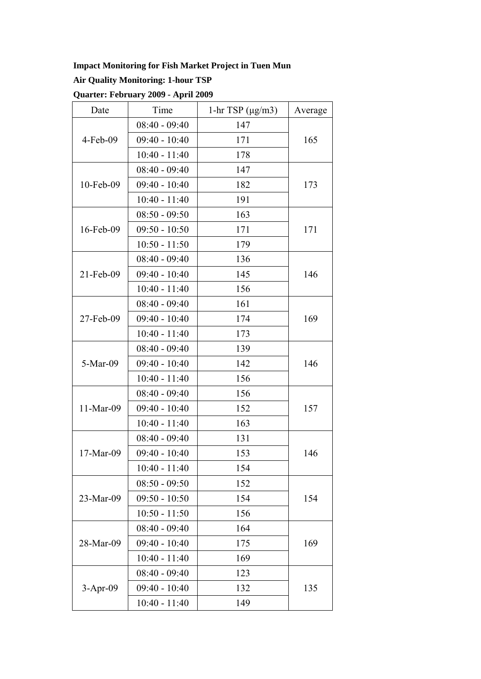## **Impact Monitoring for Fish Market Project in Tuen Mun**

## **Air Quality Monitoring: 1-hour TSP**

**Quarter: February 2009 - April 2009** 

| Date         | Time            | 1-hr TSP $(\mu g/m3)$ | Average |  |
|--------------|-----------------|-----------------------|---------|--|
| $4$ -Feb-09  | $08:40 - 09:40$ | 147                   |         |  |
|              | $09:40 - 10:40$ | 171                   | 165     |  |
|              | $10:40 - 11:40$ | 178                   |         |  |
| $10$ -Feb-09 | $08:40 - 09:40$ | 147                   | 173     |  |
|              | $09:40 - 10:40$ | 182                   |         |  |
|              | $10:40 - 11:40$ | 191                   |         |  |
| 16-Feb-09    | $08:50 - 09:50$ | 163                   | 171     |  |
|              | $09:50 - 10:50$ | 171                   |         |  |
|              | $10:50 - 11:50$ | 179                   |         |  |
|              | $08:40 - 09:40$ | 136                   | 146     |  |
| $21$ -Feb-09 | $09:40 - 10:40$ | 145                   |         |  |
|              | $10:40 - 11:40$ | 156                   |         |  |
|              | $08:40 - 09:40$ | 161                   |         |  |
| 27-Feb-09    | $09:40 - 10:40$ | 174                   | 169     |  |
|              | $10:40 - 11:40$ | 173                   |         |  |
|              | $08:40 - 09:40$ | 139                   |         |  |
| 5-Mar-09     | $09:40 - 10:40$ | 142                   | 146     |  |
|              | $10:40 - 11:40$ | 156                   |         |  |
|              | $08:40 - 09:40$ | 156                   | 157     |  |
| 11-Mar-09    | $09:40 - 10:40$ | 152                   |         |  |
|              | $10:40 - 11:40$ | 163                   |         |  |
|              | $08:40 - 09:40$ | 131                   |         |  |
| 17-Mar-09    | $09:40 - 10:40$ | 153                   | 146     |  |
|              | $10:40 - 11:40$ | 154                   |         |  |
| 23-Mar-09    | $08:50 - 09:50$ | 152                   |         |  |
|              | $09:50 - 10:50$ | 154                   | 154     |  |
|              | $10:50 - 11:50$ | 156                   |         |  |
| 28-Mar-09    | $08:40 - 09:40$ | 164                   |         |  |
|              | $09:40 - 10:40$ | 175                   | 169     |  |
|              | $10:40 - 11:40$ | 169                   |         |  |
| $3-Apr-09$   | $08:40 - 09:40$ | 123                   |         |  |
|              | $09:40 - 10:40$ | 132                   | 135     |  |
|              | $10:40 - 11:40$ | 149                   |         |  |